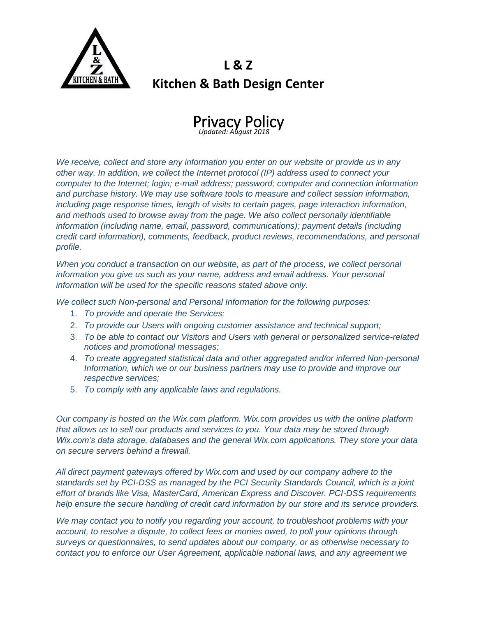

## **L & Z Kitchen & Bath Design Center**



*We receive, collect and store any information you enter on our website or provide us in any other way. In addition, we collect the Internet protocol (IP) address used to connect your computer to the Internet; login; e-mail address; password; computer and connection information and purchase history. We may use software tools to measure and collect session information, including page response times, length of visits to certain pages, page interaction information, and methods used to browse away from the page. We also collect personally identifiable information (including name, email, password, communications); payment details (including credit card information), comments, feedback, product reviews, recommendations, and personal profile.*

*When you conduct a transaction on our website, as part of the process, we collect personal information you give us such as your name, address and email address. Your personal information will be used for the specific reasons stated above only.*

*We collect such Non-personal and Personal Information for the following purposes:*

- 1. *To provide and operate the Services;*
- 2. *To provide our Users with ongoing customer assistance and technical support;*
- 3. *To be able to contact our Visitors and Users with general or personalized service-related notices and promotional messages;*
- 4. *To create aggregated statistical data and other aggregated and/or inferred Non-personal Information, which we or our business partners may use to provide and improve our respective services;*
- 5. *To comply with any applicable laws and regulations.*

*Our company is hosted on the Wix.com platform. Wix.com provides us with the online platform that allows us to sell our products and services to you. Your data may be stored through Wix.com's data storage, databases and the general Wix.com applications. They store your data on secure servers behind a firewall.*

*All direct payment gateways offered by Wix.com and used by our company adhere to the standards set by PCI-DSS as managed by the PCI Security Standards Council, which is a joint effort of brands like Visa, MasterCard, American Express and Discover. PCI-DSS requirements help ensure the secure handling of credit card information by our store and its service providers.*

*We may contact you to notify you regarding your account, to troubleshoot problems with your account, to resolve a dispute, to collect fees or monies owed, to poll your opinions through surveys or questionnaires, to send updates about our company, or as otherwise necessary to contact you to enforce our User Agreement, applicable national laws, and any agreement we*